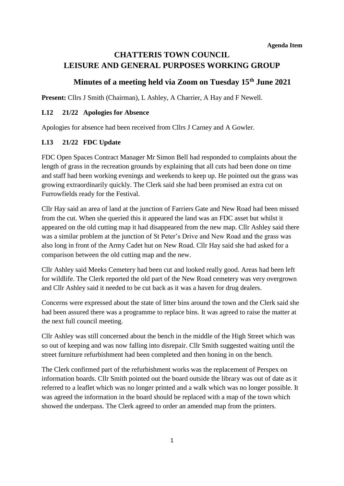# **CHATTERIS TOWN COUNCIL LEISURE AND GENERAL PURPOSES WORKING GROUP**

# **Minutes of a meeting held via Zoom on Tuesday 15th June 2021**

Present: Cllrs J Smith (Chairman), L Ashley, A Charrier, A Hay and F Newell.

#### **L12 21/22 Apologies for Absence**

Apologies for absence had been received from Cllrs J Carney and A Gowler.

#### **L13 21/22 FDC Update**

FDC Open Spaces Contract Manager Mr Simon Bell had responded to complaints about the length of grass in the recreation grounds by explaining that all cuts had been done on time and staff had been working evenings and weekends to keep up. He pointed out the grass was growing extraordinarily quickly. The Clerk said she had been promised an extra cut on Furrowfields ready for the Festival.

Cllr Hay said an area of land at the junction of Farriers Gate and New Road had been missed from the cut. When she queried this it appeared the land was an FDC asset but whilst it appeared on the old cutting map it had disappeared from the new map. Cllr Ashley said there was a similar problem at the junction of St Peter's Drive and New Road and the grass was also long in front of the Army Cadet hut on New Road. Cllr Hay said she had asked for a comparison between the old cutting map and the new.

Cllr Ashley said Meeks Cemetery had been cut and looked really good. Areas had been left for wildlife. The Clerk reported the old part of the New Road cemetery was very overgrown and Cllr Ashley said it needed to be cut back as it was a haven for drug dealers.

Concerns were expressed about the state of litter bins around the town and the Clerk said she had been assured there was a programme to replace bins. It was agreed to raise the matter at the next full council meeting.

Cllr Ashley was still concerned about the bench in the middle of the High Street which was so out of keeping and was now falling into disrepair. Cllr Smith suggested waiting until the street furniture refurbishment had been completed and then honing in on the bench.

The Clerk confirmed part of the refurbishment works was the replacement of Perspex on information boards. Cllr Smith pointed out the board outside the library was out of date as it referred to a leaflet which was no longer printed and a walk which was no longer possible. It was agreed the information in the board should be replaced with a map of the town which showed the underpass. The Clerk agreed to order an amended map from the printers.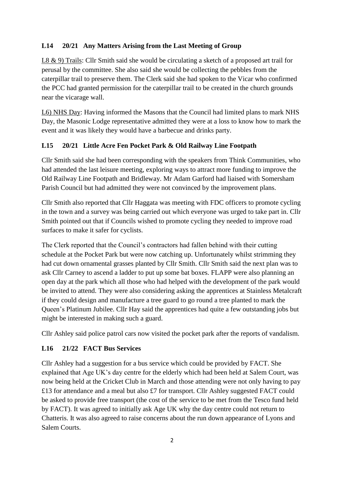## **L14 20/21 Any Matters Arising from the Last Meeting of Group**

L8 & 9) Trails: Cllr Smith said she would be circulating a sketch of a proposed art trail for perusal by the committee. She also said she would be collecting the pebbles from the caterpillar trail to preserve them. The Clerk said she had spoken to the Vicar who confirmed the PCC had granted permission for the caterpillar trail to be created in the church grounds near the vicarage wall.

L6) NHS Day: Having informed the Masons that the Council had limited plans to mark NHS Day, the Masonic Lodge representative admitted they were at a loss to know how to mark the event and it was likely they would have a barbecue and drinks party.

### **L15 20/21 Little Acre Fen Pocket Park & Old Railway Line Footpath**

Cllr Smith said she had been corresponding with the speakers from Think Communities, who had attended the last leisure meeting, exploring ways to attract more funding to improve the Old Railway Line Footpath and Bridleway. Mr Adam Garford had liaised with Somersham Parish Council but had admitted they were not convinced by the improvement plans.

Cllr Smith also reported that Cllr Haggata was meeting with FDC officers to promote cycling in the town and a survey was being carried out which everyone was urged to take part in. Cllr Smith pointed out that if Councils wished to promote cycling they needed to improve road surfaces to make it safer for cyclists.

The Clerk reported that the Council's contractors had fallen behind with their cutting schedule at the Pocket Park but were now catching up. Unfortunately whilst strimming they had cut down ornamental grasses planted by Cllr Smith. Cllr Smith said the next plan was to ask Cllr Carney to ascend a ladder to put up some bat boxes. FLAPP were also planning an open day at the park which all those who had helped with the development of the park would be invited to attend. They were also considering asking the apprentices at Stainless Metalcraft if they could design and manufacture a tree guard to go round a tree planted to mark the Queen's Platinum Jubilee. Cllr Hay said the apprentices had quite a few outstanding jobs but might be interested in making such a guard.

Cllr Ashley said police patrol cars now visited the pocket park after the reports of vandalism.

### **L16 21/22 FACT Bus Services**

Cllr Ashley had a suggestion for a bus service which could be provided by FACT. She explained that Age UK's day centre for the elderly which had been held at Salem Court, was now being held at the Cricket Club in March and those attending were not only having to pay £13 for attendance and a meal but also £7 for transport. Cllr Ashley suggested FACT could be asked to provide free transport (the cost of the service to be met from the Tesco fund held by FACT). It was agreed to initially ask Age UK why the day centre could not return to Chatteris. It was also agreed to raise concerns about the run down appearance of Lyons and Salem Courts.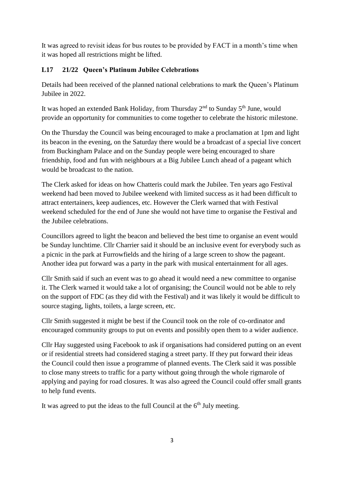It was agreed to revisit ideas for bus routes to be provided by FACT in a month's time when it was hoped all restrictions might be lifted.

## **L17 21/22 Queen's Platinum Jubilee Celebrations**

Details had been received of the planned national celebrations to mark the Queen's Platinum Jubilee in 2022.

It was hoped an extended Bank Holiday, from Thursday  $2<sup>nd</sup>$  to Sunday  $5<sup>th</sup>$  June, would provide an opportunity for communities to come together to celebrate the historic milestone.

On the Thursday the Council was being encouraged to make a proclamation at 1pm and light its beacon in the evening, on the Saturday there would be a broadcast of a special live concert from Buckingham Palace and on the Sunday people were being encouraged to share friendship, food and fun with neighbours at a Big Jubilee Lunch ahead of a pageant which would be broadcast to the nation.

The Clerk asked for ideas on how Chatteris could mark the Jubilee. Ten years ago Festival weekend had been moved to Jubilee weekend with limited success as it had been difficult to attract entertainers, keep audiences, etc. However the Clerk warned that with Festival weekend scheduled for the end of June she would not have time to organise the Festival and the Jubilee celebrations.

Councillors agreed to light the beacon and believed the best time to organise an event would be Sunday lunchtime. Cllr Charrier said it should be an inclusive event for everybody such as a picnic in the park at Furrowfields and the hiring of a large screen to show the pageant. Another idea put forward was a party in the park with musical entertainment for all ages.

Cllr Smith said if such an event was to go ahead it would need a new committee to organise it. The Clerk warned it would take a lot of organising; the Council would not be able to rely on the support of FDC (as they did with the Festival) and it was likely it would be difficult to source staging, lights, toilets, a large screen, etc.

Cllr Smith suggested it might be best if the Council took on the role of co-ordinator and encouraged community groups to put on events and possibly open them to a wider audience.

Cllr Hay suggested using Facebook to ask if organisations had considered putting on an event or if residential streets had considered staging a street party. If they put forward their ideas the Council could then issue a programme of planned events. The Clerk said it was possible to close many streets to traffic for a party without going through the whole rigmarole of applying and paying for road closures. It was also agreed the Council could offer small grants to help fund events.

It was agreed to put the ideas to the full Council at the  $6<sup>th</sup>$  July meeting.